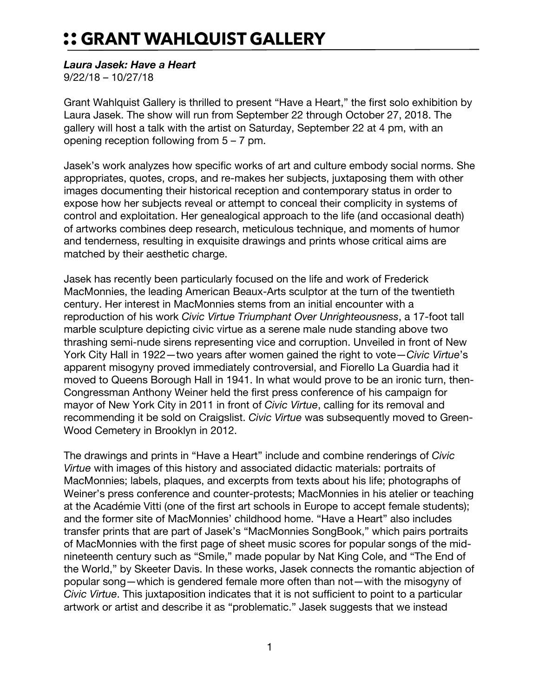## :: GRANT WAHLQUIST GALLERY

## *Laura Jasek: Have a Heart*

9/22/18 – 10/27/18

Grant Wahlquist Gallery is thrilled to present "Have a Heart," the first solo exhibition by Laura Jasek. The show will run from September 22 through October 27, 2018. The gallery will host a talk with the artist on Saturday, September 22 at 4 pm, with an opening reception following from 5 – 7 pm.

Jasek's work analyzes how specific works of art and culture embody social norms. She appropriates, quotes, crops, and re-makes her subjects, juxtaposing them with other images documenting their historical reception and contemporary status in order to expose how her subjects reveal or attempt to conceal their complicity in systems of control and exploitation. Her genealogical approach to the life (and occasional death) of artworks combines deep research, meticulous technique, and moments of humor and tenderness, resulting in exquisite drawings and prints whose critical aims are matched by their aesthetic charge.

Jasek has recently been particularly focused on the life and work of Frederick MacMonnies, the leading American Beaux-Arts sculptor at the turn of the twentieth century. Her interest in MacMonnies stems from an initial encounter with a reproduction of his work *Civic Virtue Triumphant Over Unrighteousness*, a 17-foot tall marble sculpture depicting civic virtue as a serene male nude standing above two thrashing semi-nude sirens representing vice and corruption. Unveiled in front of New York City Hall in 1922—two years after women gained the right to vote—*Civic Virtue*'s apparent misogyny proved immediately controversial, and Fiorello La Guardia had it moved to Queens Borough Hall in 1941. In what would prove to be an ironic turn, then-Congressman Anthony Weiner held the first press conference of his campaign for mayor of New York City in 2011 in front of *Civic Virtue*, calling for its removal and recommending it be sold on Craigslist. *Civic Virtue* was subsequently moved to Green-Wood Cemetery in Brooklyn in 2012.

The drawings and prints in "Have a Heart" include and combine renderings of *Civic Virtue* with images of this history and associated didactic materials: portraits of MacMonnies; labels, plaques, and excerpts from texts about his life; photographs of Weiner's press conference and counter-protests; MacMonnies in his atelier or teaching at the Académie Vitti (one of the first art schools in Europe to accept female students); and the former site of MacMonnies' childhood home. "Have a Heart" also includes transfer prints that are part of Jasek's "MacMonnies SongBook," which pairs portraits of MacMonnies with the first page of sheet music scores for popular songs of the midnineteenth century such as "Smile," made popular by Nat King Cole, and "The End of the World," by Skeeter Davis. In these works, Jasek connects the romantic abjection of popular song—which is gendered female more often than not—with the misogyny of *Civic Virtue*. This juxtaposition indicates that it is not sufficient to point to a particular artwork or artist and describe it as "problematic." Jasek suggests that we instead